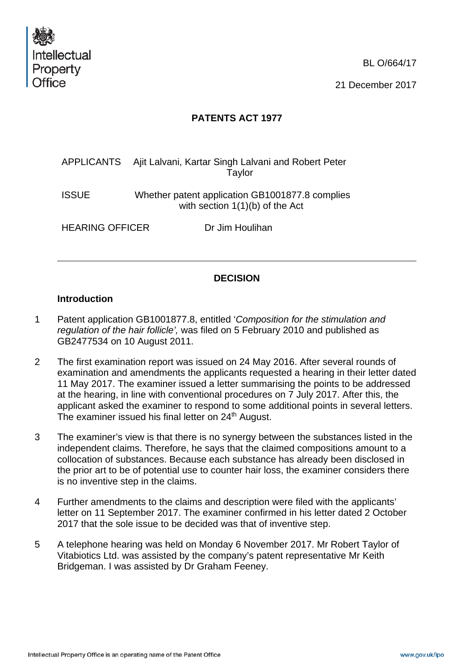

BL O/664/17

21 December 2017

# **PATENTS ACT 1977**

|                        |  | APPLICANTS Ajit Lalvani, Kartar Singh Lalvani and Robert Peter<br>Taylor             |
|------------------------|--|--------------------------------------------------------------------------------------|
| <b>ISSUE</b>           |  | Whether patent application GB1001877.8 complies<br>with section $1(1)(b)$ of the Act |
| <b>HEARING OFFICER</b> |  | Dr Jim Houlihan                                                                      |

## **DECISION**

## **Introduction**

- 1 Patent application GB1001877.8, entitled '*Composition for the stimulation and regulation of the hair follicle',* was filed on 5 February 2010 and published as GB2477534 on 10 August 2011.
- 2 The first examination report was issued on 24 May 2016. After several rounds of examination and amendments the applicants requested a hearing in their letter dated 11 May 2017. The examiner issued a letter summarising the points to be addressed at the hearing, in line with conventional procedures on 7 July 2017. After this, the applicant asked the examiner to respond to some additional points in several letters. The examiner issued his final letter on 24<sup>th</sup> August.
- 3 The examiner's view is that there is no synergy between the substances listed in the independent claims. Therefore, he says that the claimed compositions amount to a collocation of substances. Because each substance has already been disclosed in the prior art to be of potential use to counter hair loss, the examiner considers there is no inventive step in the claims.
- 4 Further amendments to the claims and description were filed with the applicants' letter on 11 September 2017. The examiner confirmed in his letter dated 2 October 2017 that the sole issue to be decided was that of inventive step.
- 5 A telephone hearing was held on Monday 6 November 2017. Mr Robert Taylor of Vitabiotics Ltd. was assisted by the company's patent representative Mr Keith Bridgeman. I was assisted by Dr Graham Feeney.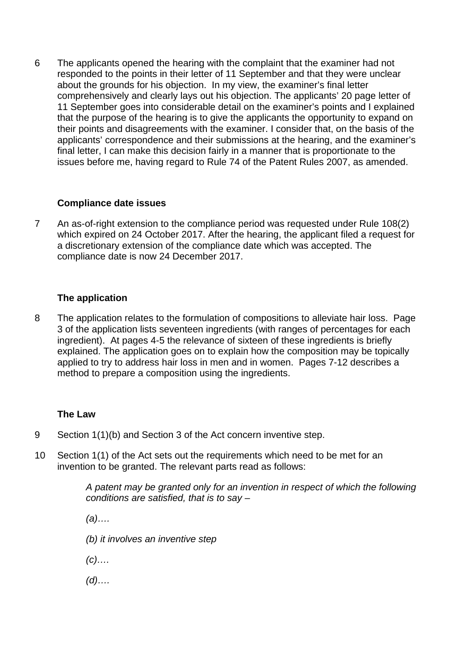6 The applicants opened the hearing with the complaint that the examiner had not responded to the points in their letter of 11 September and that they were unclear about the grounds for his objection. In my view, the examiner's final letter comprehensively and clearly lays out his objection. The applicants' 20 page letter of 11 September goes into considerable detail on the examiner's points and I explained that the purpose of the hearing is to give the applicants the opportunity to expand on their points and disagreements with the examiner. I consider that, on the basis of the applicants' correspondence and their submissions at the hearing, and the examiner's final letter, I can make this decision fairly in a manner that is proportionate to the issues before me, having regard to Rule 74 of the Patent Rules 2007, as amended.

## **Compliance date issues**

7 An as-of-right extension to the compliance period was requested under Rule 108(2) which expired on 24 October 2017. After the hearing, the applicant filed a request for a discretionary extension of the compliance date which was accepted. The compliance date is now 24 December 2017.

#### **The application**

8 The application relates to the formulation of compositions to alleviate hair loss. Page 3 of the application lists seventeen ingredients (with ranges of percentages for each ingredient). At pages 4-5 the relevance of sixteen of these ingredients is briefly explained. The application goes on to explain how the composition may be topically applied to try to address hair loss in men and in women. Pages 7-12 describes a method to prepare a composition using the ingredients.

#### **The Law**

- 9 Section 1(1)(b) and Section 3 of the Act concern inventive step.
- 10 Section 1(1) of the Act sets out the requirements which need to be met for an invention to be granted. The relevant parts read as follows:

*A patent may be granted only for an invention in respect of which the following conditions are satisfied, that is to say –*

*(a)….* 

- *(b) it involves an inventive step*
- *(c)….*
- *(d)….*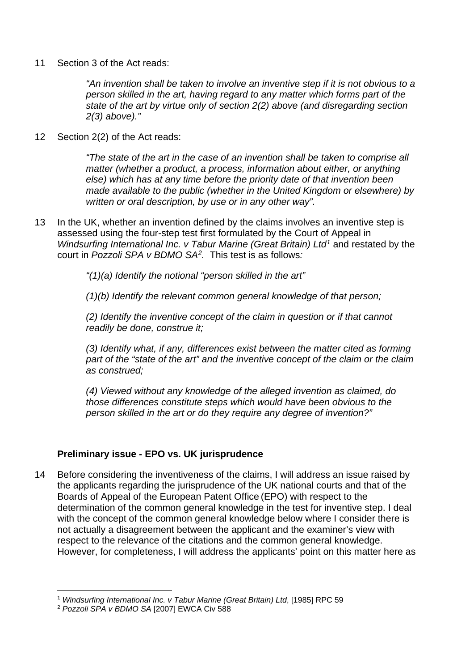11 Section 3 of the Act reads:

*"An invention shall be taken to involve an inventive step if it is not obvious to a person skilled in the art, having regard to any matter which forms part of the state of the art by virtue only of section 2(2) above (and disregarding section 2(3) above)."*

12 Section 2(2) of the Act reads:

*"The state of the art in the case of an invention shall be taken to comprise all matter (whether a product, a process, information about either, or anything else) which has at any time before the priority date of that invention been made available to the public (whether in the United Kingdom or elsewhere) by written or oral description, by use or in any other way".* 

13 In the UK, whether an invention defined by the claims involves an inventive step is assessed using the four-step test first formulated by the Court of Appeal in *Windsurfing International Inc. v Tabur Marine (Great Britain) Ltd[1](#page-2-0)* and restated by the court in *Pozzoli SPA v BDMO SA[2.](#page-2-1)* This test is as follows*:* 

*"(1)(a) Identify the notional "person skilled in the art"* 

*(1)(b) Identify the relevant common general knowledge of that person;* 

*(2) Identify the inventive concept of the claim in question or if that cannot readily be done, construe it;* 

*(3) Identify what, if any, differences exist between the matter cited as forming part of the "state of the art" and the inventive concept of the claim or the claim as construed;* 

*(4) Viewed without any knowledge of the alleged invention as claimed, do those differences constitute steps which would have been obvious to the person skilled in the art or do they require any degree of invention?"* 

## **Preliminary issue - EPO vs. UK jurisprudence**

14 Before considering the inventiveness of the claims, I will address an issue raised by the applicants regarding the jurisprudence of the UK national courts and that of the Boards of Appeal of the European Patent Office (EPO) with respect to the determination of the common general knowledge in the test for inventive step. I deal with the concept of the common general knowledge below where I consider there is not actually a disagreement between the applicant and the examiner's view with respect to the relevance of the citations and the common general knowledge. However, for completeness, I will address the applicants' point on this matter here as

<span id="page-2-0"></span> <sup>1</sup> *Windsurfing International Inc. v Tabur Marine (Great Britain) Ltd*, [1985] RPC 59

<span id="page-2-1"></span><sup>2</sup> *Pozzoli SPA v BDMO SA* [2007] EWCA Civ 588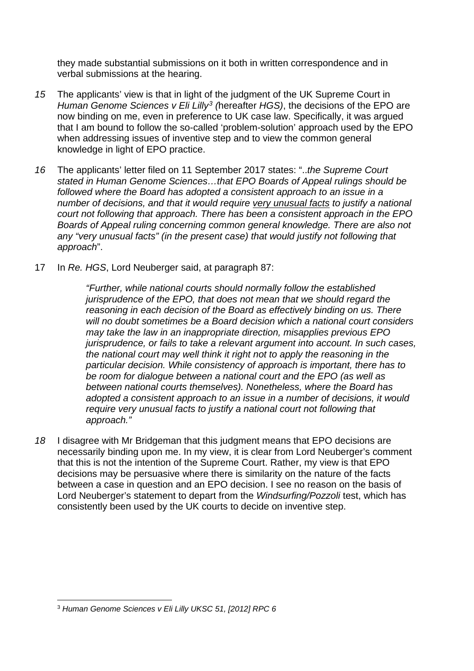they made substantial submissions on it both in written correspondence and in verbal submissions at the hearing.

- *15* The applicants' view is that in light of the judgment of the UK Supreme Court in *Human Genome Sciences v Eli Lilly[3](#page-3-0) (*hereafter *HGS)*, the decisions of the EPO are now binding on me, even in preference to UK case law. Specifically, it was argued that I am bound to follow the so-called 'problem-solution' approach used by the EPO when addressing issues of inventive step and to view the common general knowledge in light of EPO practice.
- *16* The applicants' letter filed on 11 September 2017 states: "..*the Supreme Court stated in Human Genome Sciences…that EPO Boards of Appeal rulings should be followed where the Board has adopted a consistent approach to an issue in a number of decisions, and that it would require very unusual facts to justify a national court not following that approach. There has been a consistent approach in the EPO Boards of Appeal ruling concerning common general knowledge. There are also not any "very unusual facts" (in the present case) that would justify not following that approach*".
- 17 In *Re. HGS*, Lord Neuberger said, at paragraph 87:

*"Further, while national courts should normally follow the established jurisprudence of the EPO, that does not mean that we should regard the reasoning in each decision of the Board as effectively binding on us. There will no doubt sometimes be a Board decision which a national court considers may take the law in an inappropriate direction, misapplies previous EPO jurisprudence, or fails to take a relevant argument into account. In such cases, the national court may well think it right not to apply the reasoning in the particular decision. While consistency of approach is important, there has to be room for dialogue between a national court and the EPO (as well as between national courts themselves). Nonetheless, where the Board has adopted a consistent approach to an issue in a number of decisions, it would require very unusual facts to justify a national court not following that approach."*

*18* I disagree with Mr Bridgeman that this judgment means that EPO decisions are necessarily binding upon me. In my view, it is clear from Lord Neuberger's comment that this is not the intention of the Supreme Court. Rather, my view is that EPO decisions may be persuasive where there is similarity on the nature of the facts between a case in question and an EPO decision. I see no reason on the basis of Lord Neuberger's statement to depart from the *Windsurfing/Pozzoli* test, which has consistently been used by the UK courts to decide on inventive step.

<span id="page-3-0"></span> <sup>3</sup> *Human Genome Sciences v Eli Lilly UKSC 51, [2012] RPC <sup>6</sup>*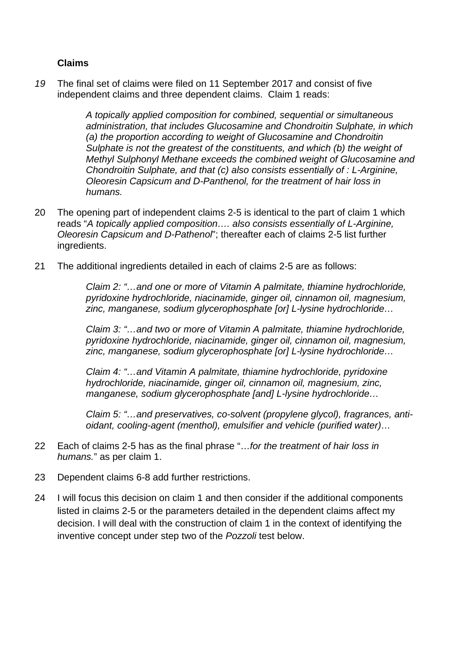# **Claims**

*19* The final set of claims were filed on 11 September 2017 and consist of five independent claims and three dependent claims. Claim 1 reads:

> *A topically applied composition for combined, sequential or simultaneous administration, that includes Glucosamine and Chondroitin Sulphate, in which (a) the proportion according to weight of Glucosamine and Chondroitin Sulphate is not the greatest of the constituents, and which (b) the weight of Methyl Sulphonyl Methane exceeds the combined weight of Glucosamine and Chondroitin Sulphate, and that (c) also consists essentially of : L-Arginine, Oleoresin Capsicum and D-Panthenol, for the treatment of hair loss in humans.*

- 20 The opening part of independent claims 2-5 is identical to the part of claim 1 which reads "*A topically applied composition…. also consists essentially of L-Arginine, Oleoresin Capsicum and D-Pathenol*"; thereafter each of claims 2-5 list further ingredients.
- 21 The additional ingredients detailed in each of claims 2-5 are as follows:

*Claim 2: "…and one or more of Vitamin A palmitate, thiamine hydrochloride, pyridoxine hydrochloride, niacinamide, ginger oil, cinnamon oil, magnesium, zinc, manganese, sodium glycerophosphate [or] L-lysine hydrochloride…* 

*Claim 3: "…and two or more of Vitamin A palmitate, thiamine hydrochloride, pyridoxine hydrochloride, niacinamide, ginger oil, cinnamon oil, magnesium, zinc, manganese, sodium glycerophosphate [or] L-lysine hydrochloride…* 

*Claim 4: "…and Vitamin A palmitate, thiamine hydrochloride, pyridoxine hydrochloride, niacinamide, ginger oil, cinnamon oil, magnesium, zinc, manganese, sodium glycerophosphate [and] L-lysine hydrochloride…* 

*Claim 5: "…and preservatives, co-solvent (propylene glycol), fragrances, antioidant, cooling-agent (menthol), emulsifier and vehicle (purified water)…* 

- 22 Each of claims 2-5 has as the final phrase "…*for the treatment of hair loss in humans.*" as per claim 1.
- 23 Dependent claims 6-8 add further restrictions.
- 24 I will focus this decision on claim 1 and then consider if the additional components listed in claims 2-5 or the parameters detailed in the dependent claims affect my decision. I will deal with the construction of claim 1 in the context of identifying the inventive concept under step two of the *Pozzoli* test below.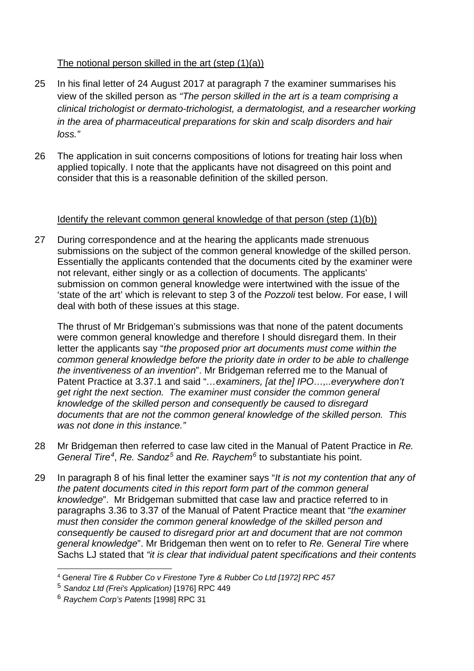# The notional person skilled in the art (step (1)(a))

- 25 In his final letter of 24 August 2017 at paragraph 7 the examiner summarises his view of the skilled person as *"The person skilled in the art is a team comprising a clinical trichologist or dermato-trichologist, a dermatologist, and a researcher working in the area of pharmaceutical preparations for skin and scalp disorders and hair loss."*
- 26 The application in suit concerns compositions of lotions for treating hair loss when applied topically. I note that the applicants have not disagreed on this point and consider that this is a reasonable definition of the skilled person.

# Identify the relevant common general knowledge of that person (step (1)(b))

27 During correspondence and at the hearing the applicants made strenuous submissions on the subject of the common general knowledge of the skilled person. Essentially the applicants contended that the documents cited by the examiner were not relevant, either singly or as a collection of documents. The applicants' submission on common general knowledge were intertwined with the issue of the 'state of the art' which is relevant to step 3 of the *Pozzoli* test below. For ease, I will deal with both of these issues at this stage.

The thrust of Mr Bridgeman's submissions was that none of the patent documents were common general knowledge and therefore I should disregard them. In their letter the applicants say "*the proposed prior art documents must come within the common general knowledge before the priority date in order to be able to challenge the inventiveness of an invention*". Mr Bridgeman referred me to the Manual of Patent Practice at 3.37.1 and said "*…examiners, [at the] IPO…,..everywhere don't get right the next section. The examiner must consider the common general knowledge of the skilled person and consequently be caused to disregard documents that are not the common general knowledge of the skilled person. This was not done in this instance."*

- 28 Mr Bridgeman then referred to case law cited in the Manual of Patent Practice in *Re. General Tire[4](#page-5-0)*, *Re. Sandoz[5](#page-5-1)* and *Re. Raychem[6](#page-5-2)* to substantiate his point.
- 29 In paragraph 8 of his final letter the examiner says "*It is not my contention that any of the patent documents cited in this report form part of the common general knowledge*". Mr Bridgeman submitted that case law and practice referred to in paragraphs 3.36 to 3.37 of the Manual of Patent Practice meant that "*the examiner must then consider the common general knowledge of the skilled person and consequently be caused to disregard prior art and document that are not common general knowledge*". Mr Bridgeman then went on to refer to *Re.* G*eneral Tire* where Sachs LJ stated that *"it is clear that individual patent specifications and their contents*

<span id="page-5-0"></span> <sup>4</sup> <sup>G</sup>*eneral Tire & Rubber Co v Firestone Tyre & Rubber Co Ltd [1972] RPC 457*

<span id="page-5-1"></span><sup>5</sup> *Sandoz Ltd (Frei's Application)* [1976] RPC 449

<span id="page-5-2"></span><sup>6</sup> *Raychem Corp's Patents* [1998] RPC 31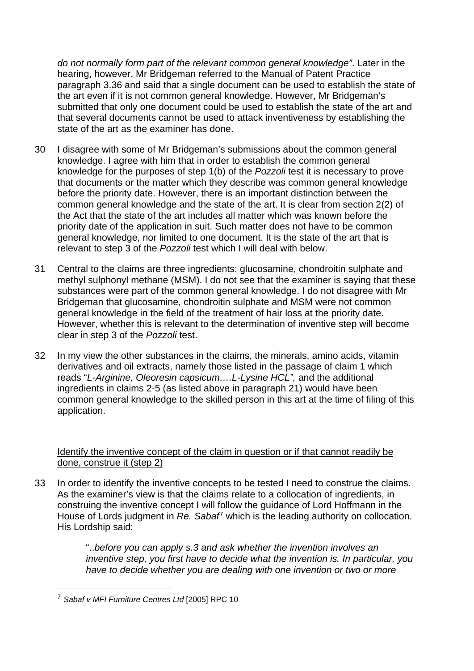*do not normally form part of the relevant common general knowledge"*. Later in the hearing, however, Mr Bridgeman referred to the Manual of Patent Practice paragraph 3.36 and said that a single document can be used to establish the state of the art even if it is not common general knowledge. However, Mr Bridgeman's submitted that only one document could be used to establish the state of the art and that several documents cannot be used to attack inventiveness by establishing the state of the art as the examiner has done.

- 30 I disagree with some of Mr Bridgeman's submissions about the common general knowledge. I agree with him that in order to establish the common general knowledge for the purposes of step 1(b) of the *Pozzoli* test it is necessary to prove that documents or the matter which they describe was common general knowledge before the priority date. However, there is an important distinction between the common general knowledge and the state of the art. It is clear from section 2(2) of the Act that the state of the art includes all matter which was known before the priority date of the application in suit. Such matter does not have to be common general knowledge, nor limited to one document. It is the state of the art that is relevant to step 3 of the *Pozzoli* test which I will deal with below.
- 31 Central to the claims are three ingredients: glucosamine, chondroitin sulphate and methyl sulphonyl methane (MSM). I do not see that the examiner is saying that these substances were part of the common general knowledge. I do not disagree with Mr Bridgeman that glucosamine, chondroitin sulphate and MSM were not common general knowledge in the field of the treatment of hair loss at the priority date. However, whether this is relevant to the determination of inventive step will become clear in step 3 of the *Pozzoli* test.
- 32 In my view the other substances in the claims, the minerals, amino acids, vitamin derivatives and oil extracts, namely those listed in the passage of claim 1 which reads "*L-Arginine, Oleoresin capsicum….L-Lysine HCL",* and the additional ingredients in claims 2-5 (as listed above in paragraph 21) would have been common general knowledge to the skilled person in this art at the time of filing of this application.

## Identify the inventive concept of the claim in question or if that cannot readily be done, construe it (step 2)

33 In order to identify the inventive concepts to be tested I need to construe the claims. As the examiner's view is that the claims relate to a collocation of ingredients, in construing the inventive concept I will follow the guidance of Lord Hoffmann in the House of Lords judgment in *Re. Sabaf*[7](#page-6-0) which is the leading authority on collocation. His Lordship said:

> "..*before you can apply s.3 and ask whether the invention involves an inventive step, you first have to decide what the invention is. In particular, you have to decide whether you are dealing with one invention or two or more*

<span id="page-6-0"></span> <sup>7</sup> *Sabaf v MFI Furniture Centres Ltd* [2005] RPC 10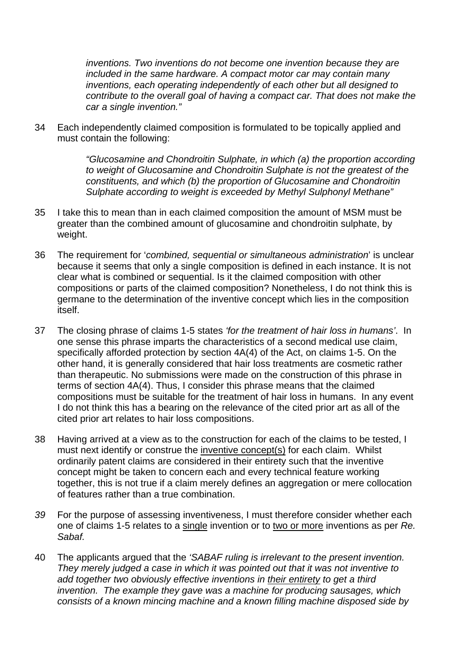*inventions. Two inventions do not become one invention because they are included in the same hardware. A compact motor car may contain many inventions, each operating independently of each other but all designed to contribute to the overall goal of having a compact car. That does not make the car a single invention."* 

34 Each independently claimed composition is formulated to be topically applied and must contain the following:

> *"Glucosamine and Chondroitin Sulphate, in which (a) the proportion according to weight of Glucosamine and Chondroitin Sulphate is not the greatest of the constituents, and which (b) the proportion of Glucosamine and Chondroitin Sulphate according to weight is exceeded by Methyl Sulphonyl Methane"*

- 35 I take this to mean than in each claimed composition the amount of MSM must be greater than the combined amount of glucosamine and chondroitin sulphate, by weight.
- 36 The requirement for '*combined, sequential or simultaneous administration*' is unclear because it seems that only a single composition is defined in each instance. It is not clear what is combined or sequential. Is it the claimed composition with other compositions or parts of the claimed composition? Nonetheless, I do not think this is germane to the determination of the inventive concept which lies in the composition itself.
- 37 The closing phrase of claims 1-5 states *'for the treatment of hair loss in humans'*. In one sense this phrase imparts the characteristics of a second medical use claim, specifically afforded protection by section 4A(4) of the Act, on claims 1-5. On the other hand, it is generally considered that hair loss treatments are cosmetic rather than therapeutic. No submissions were made on the construction of this phrase in terms of section 4A(4). Thus, I consider this phrase means that the claimed compositions must be suitable for the treatment of hair loss in humans. In any event I do not think this has a bearing on the relevance of the cited prior art as all of the cited prior art relates to hair loss compositions.
- 38 Having arrived at a view as to the construction for each of the claims to be tested, I must next identify or construe the inventive concept(s) for each claim. Whilst ordinarily patent claims are considered in their entirety such that the inventive concept might be taken to concern each and every technical feature working together, this is not true if a claim merely defines an aggregation or mere collocation of features rather than a true combination.
- *39* For the purpose of assessing inventiveness, I must therefore consider whether each one of claims 1-5 relates to a single invention or to two or more inventions as per *Re. Sabaf.*
- 40 The applicants argued that the *'SABAF ruling is irrelevant to the present invention. They merely judged a case in which it was pointed out that it was not inventive to add together two obviously effective inventions in their entirety to get a third invention. The example they gave was a machine for producing sausages, which consists of a known mincing machine and a known filling machine disposed side by*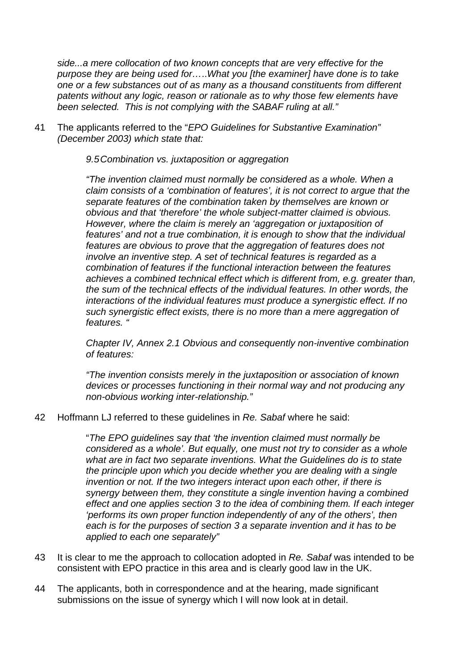*side...a mere collocation of two known concepts that are very effective for the purpose they are being used for…*..*What you [the examiner] have done is to take one or a few substances out of as many as a thousand constituents from different patents without any logic, reason or rationale as to why those few elements have been selected. This is not complying with the SABAF ruling at all."*

41 The applicants referred to the "*EPO Guidelines for Substantive Examination" (December 2003) which state that:* 

*9.5Combination vs. juxtaposition or aggregation* 

*"The invention claimed must normally be considered as a whole. When a claim consists of a 'combination of features', it is not correct to argue that the separate features of the combination taken by themselves are known or obvious and that 'therefore' the whole subject-matter claimed is obvious. However, where the claim is merely an 'aggregation or juxtaposition of*  features' and not a true combination, it is enough to show that the individual *features are obvious to prove that the aggregation of features does not involve an inventive step. A set of technical features is regarded as a combination of features if the functional interaction between the features achieves a combined technical effect which is different from, e.g. greater than, the sum of the technical effects of the individual features. In other words, the interactions of the individual features must produce a synergistic effect. If no such synergistic effect exists, there is no more than a mere aggregation of features. "*

*Chapter IV, Annex 2.1 Obvious and consequently non-inventive combination of features:*

*"The invention consists merely in the juxtaposition or association of known devices or processes functioning in their normal way and not producing any non-obvious working inter-relationship."*

42 Hoffmann LJ referred to these guidelines in *Re. Sabaf* where he said:

"*The EPO guidelines say that 'the invention claimed must normally be considered as a whole'. But equally, one must not try to consider as a whole what are in fact two separate inventions. What the Guidelines do is to state the principle upon which you decide whether you are dealing with a single invention or not. If the two integers interact upon each other, if there is synergy between them, they constitute a single invention having a combined effect and one applies section 3 to the idea of combining them. If each integer 'performs its own proper function independently of any of the others', then each is for the purposes of section 3 a separate invention and it has to be applied to each one separately"*

- 43 It is clear to me the approach to collocation adopted in *Re. Sabaf* was intended to be consistent with EPO practice in this area and is clearly good law in the UK.
- 44 The applicants, both in correspondence and at the hearing, made significant submissions on the issue of synergy which I will now look at in detail.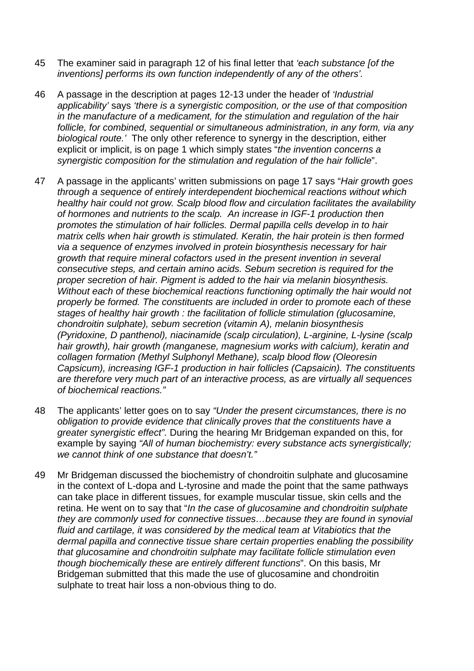- 45 The examiner said in paragraph 12 of his final letter that *'each substance [of the inventions] performs its own function independently of any of the others'.*
- 46 A passage in the description at pages 12-13 under the header of *'Industrial applicability'* says *'there is a synergistic composition, or the use of that composition in the manufacture of a medicament, for the stimulation and regulation of the hair follicle, for combined, sequential or simultaneous administration, in any form, via any biological route.'* The only other reference to synergy in the description, either explicit or implicit, is on page 1 which simply states "*the invention concerns a synergistic composition for the stimulation and regulation of the hair follicle*".
- 47 A passage in the applicants' written submissions on page 17 says "*Hair growth goes through a sequence of entirely interdependent biochemical reactions without which healthy hair could not grow. Scalp blood flow and circulation facilitates the availability of hormones and nutrients to the scalp. An increase in IGF-1 production then promotes the stimulation of hair follicles. Dermal papilla cells develop in to hair matrix cells when hair growth is stimulated. Keratin, the hair protein is then formed via a sequence of enzymes involved in protein biosynthesis necessary for hair growth that require mineral cofactors used in the present invention in several consecutive steps, and certain amino acids. Sebum secretion is required for the proper secretion of hair. Pigment is added to the hair via melanin biosynthesis. Without each of these biochemical reactions functioning optimally the hair would not properly be formed. The constituents are included in order to promote each of these stages of healthy hair growth : the facilitation of follicle stimulation (glucosamine, chondroitin sulphate), sebum secretion (vitamin A), melanin biosynthesis (Pyridoxine, D panthenol), niacinamide (scalp circulation), L-arginine, L-lysine (scalp hair growth), hair growth (manganese, magnesium works with calcium), keratin and collagen formation (Methyl Sulphonyl Methane), scalp blood flow (Oleoresin Capsicum), increasing IGF-1 production in hair follicles (Capsaicin). The constituents are therefore very much part of an interactive process, as are virtually all sequences of biochemical reactions."*
- 48 The applicants' letter goes on to say *"Under the present circumstances, there is no obligation to provide evidence that clinically proves that the constituents have a greater synergistic effect".* During the hearing Mr Bridgeman expanded on this, for example by saying *"All of human biochemistry: every substance acts synergistically; we cannot think of one substance that doesn't."*
- 49 Mr Bridgeman discussed the biochemistry of chondroitin sulphate and glucosamine in the context of L-dopa and L-tyrosine and made the point that the same pathways can take place in different tissues, for example muscular tissue, skin cells and the retina. He went on to say that "*In the case of glucosamine and chondroitin sulphate they are commonly used for connective tissues…because they are found in synovial fluid and cartilage, it was considered by the medical team at Vitabiotics that the dermal papilla and connective tissue share certain properties enabling the possibility that glucosamine and chondroitin sulphate may facilitate follicle stimulation even though biochemically these are entirely different functions*". On this basis, Mr Bridgeman submitted that this made the use of glucosamine and chondroitin sulphate to treat hair loss a non-obvious thing to do.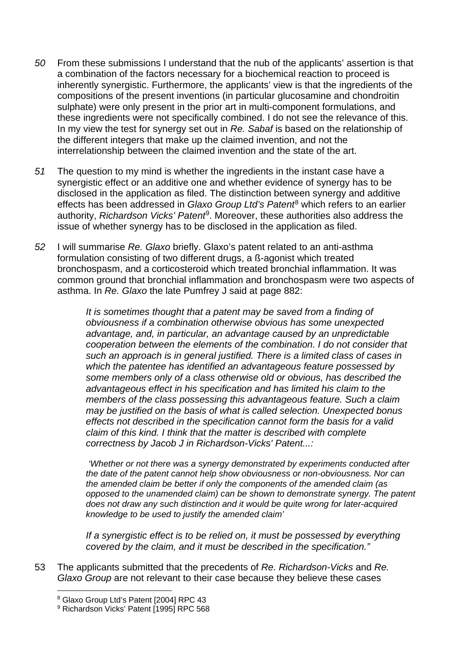- *50* From these submissions I understand that the nub of the applicants' assertion is that a combination of the factors necessary for a biochemical reaction to proceed is inherently synergistic. Furthermore, the applicants' view is that the ingredients of the compositions of the present inventions (in particular glucosamine and chondroitin sulphate) were only present in the prior art in multi-component formulations, and these ingredients were not specifically combined. I do not see the relevance of this. In my view the test for synergy set out in *Re. Sabaf* is based on the relationship of the different integers that make up the claimed invention, and not the interrelationship between the claimed invention and the state of the art.
- *51* The question to my mind is whether the ingredients in the instant case have a synergistic effect or an additive one and whether evidence of synergy has to be disclosed in the application as filed. The distinction between synergy and additive effects has been addressed in *Glaxo Group Ltd's Patent*[8](#page-10-0) which refers to an earlier authority, *Richardson Vicks' Patent*[9](#page-10-1). Moreover, these authorities also address the issue of whether synergy has to be disclosed in the application as filed.
- *52* I will summarise *Re. Glaxo* briefly. Glaxo's patent related to an anti-asthma formulation consisting of two different drugs, a ß-agonist which treated bronchospasm, and a corticosteroid which treated bronchial inflammation. It was common ground that bronchial inflammation and bronchospasm were two aspects of asthma. In *Re. Glaxo* the late Pumfrey J said at page 882:

*It is sometimes thought that a patent may be saved from a finding of obviousness if a combination otherwise obvious has some unexpected advantage, and, in particular, an advantage caused by an unpredictable cooperation between the elements of the combination. I do not consider that such an approach is in general justified. There is a limited class of cases in which the patentee has identified an advantageous feature possessed by some members only of a class otherwise old or obvious, has described the advantageous effect in his specification and has limited his claim to the members of the class possessing this advantageous feature. Such a claim may be justified on the basis of what is called selection. Unexpected bonus effects not described in the specification cannot form the basis for a valid claim of this kind. I think that the matter is described with complete correctness by Jacob J in Richardson-Vicks' Patent...:* 

*'Whether or not there was a synergy demonstrated by experiments conducted after the date of the patent cannot help show obviousness or non-obviousness. Nor can the amended claim be better if only the components of the amended claim (as opposed to the unamended claim) can be shown to demonstrate synergy. The patent does not draw any such distinction and it would be quite wrong for later-acquired knowledge to be used to justify the amended claim'*

*If a synergistic effect is to be relied on, it must be possessed by everything covered by the claim, and it must be described in the specification."*

<span id="page-10-1"></span><span id="page-10-0"></span>53 The applicants submitted that the precedents of *Re. Richardson-Vicks* and *Re. Glaxo Group* are not relevant to their case because they believe these cases

 <sup>8</sup> Glaxo Group Ltd's Patent [2004] RPC 43

<sup>&</sup>lt;sup>9</sup> Richardson Vicks' Patent [1995] RPC 568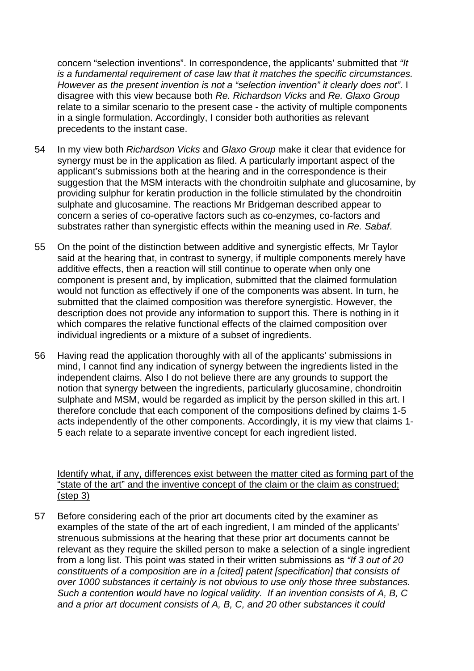concern "selection inventions". In correspondence, the applicants' submitted that *"It is a fundamental requirement of case law that it matches the specific circumstances. However as the present invention is not a "selection invention" it clearly does not".* I disagree with this view because both *Re. Richardson Vicks* and *Re. Glaxo Group* relate to a similar scenario to the present case - the activity of multiple components in a single formulation. Accordingly, I consider both authorities as relevant precedents to the instant case.

- 54 In my view both *Richardson Vicks* and *Glaxo Group* make it clear that evidence for synergy must be in the application as filed. A particularly important aspect of the applicant's submissions both at the hearing and in the correspondence is their suggestion that the MSM interacts with the chondroitin sulphate and glucosamine, by providing sulphur for keratin production in the follicle stimulated by the chondroitin sulphate and glucosamine. The reactions Mr Bridgeman described appear to concern a series of co-operative factors such as co-enzymes, co-factors and substrates rather than synergistic effects within the meaning used in *Re. Sabaf*.
- 55 On the point of the distinction between additive and synergistic effects, Mr Taylor said at the hearing that, in contrast to synergy, if multiple components merely have additive effects, then a reaction will still continue to operate when only one component is present and, by implication, submitted that the claimed formulation would not function as effectively if one of the components was absent. In turn, he submitted that the claimed composition was therefore synergistic. However, the description does not provide any information to support this. There is nothing in it which compares the relative functional effects of the claimed composition over individual ingredients or a mixture of a subset of ingredients.
- 56 Having read the application thoroughly with all of the applicants' submissions in mind, I cannot find any indication of synergy between the ingredients listed in the independent claims. Also I do not believe there are any grounds to support the notion that synergy between the ingredients, particularly glucosamine, chondroitin sulphate and MSM, would be regarded as implicit by the person skilled in this art. I therefore conclude that each component of the compositions defined by claims 1-5 acts independently of the other components. Accordingly, it is my view that claims 1- 5 each relate to a separate inventive concept for each ingredient listed.

Identify what, if any, differences exist between the matter cited as forming part of the "state of the art" and the inventive concept of the claim or the claim as construed; (step 3)

57 Before considering each of the prior art documents cited by the examiner as examples of the state of the art of each ingredient, I am minded of the applicants' strenuous submissions at the hearing that these prior art documents cannot be relevant as they require the skilled person to make a selection of a single ingredient from a long list. This point was stated in their written submissions as *"If 3 out of 20 constituents of a composition are in a [cited] patent [specification] that consists of over 1000 substances it certainly is not obvious to use only those three substances. Such a contention would have no logical validity. If an invention consists of A, B, C and a prior art document consists of A, B, C, and 20 other substances it could*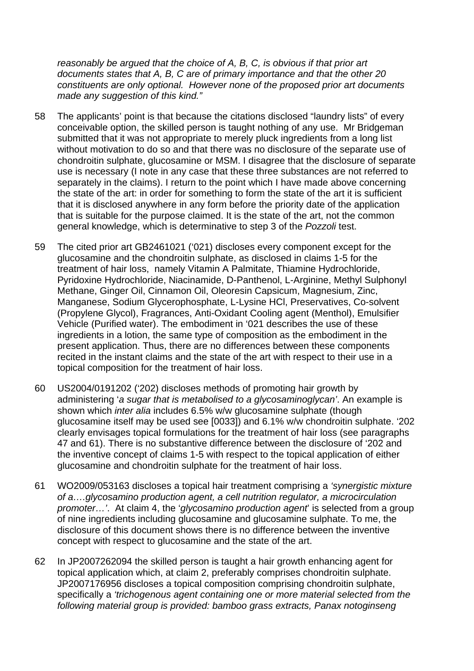*reasonably be argued that the choice of A, B, C, is obvious if that prior art documents states that A, B, C are of primary importance and that the other 20 constituents are only optional. However none of the proposed prior art documents made any suggestion of this kind."* 

- 58 The applicants' point is that because the citations disclosed "laundry lists" of every conceivable option, the skilled person is taught nothing of any use. Mr Bridgeman submitted that it was not appropriate to merely pluck ingredients from a long list without motivation to do so and that there was no disclosure of the separate use of chondroitin sulphate, glucosamine or MSM. I disagree that the disclosure of separate use is necessary (I note in any case that these three substances are not referred to separately in the claims). I return to the point which I have made above concerning the state of the art: in order for something to form the state of the art it is sufficient that it is disclosed anywhere in any form before the priority date of the application that is suitable for the purpose claimed. It is the state of the art, not the common general knowledge, which is determinative to step 3 of the *Pozzoli* test.
- 59 The cited prior art GB2461021 ('021) discloses every component except for the glucosamine and the chondroitin sulphate, as disclosed in claims 1-5 for the treatment of hair loss, namely Vitamin A Palmitate, Thiamine Hydrochloride, Pyridoxine Hydrochloride, Niacinamide, D-Panthenol, L-Arginine, Methyl Sulphonyl Methane, Ginger Oil, Cinnamon Oil, Oleoresin Capsicum, Magnesium, Zinc, Manganese, Sodium Glycerophosphate, L-Lysine HCl, Preservatives, Co-solvent (Propylene Glycol), Fragrances, Anti-Oxidant Cooling agent (Menthol), Emulsifier Vehicle (Purified water). The embodiment in '021 describes the use of these ingredients in a lotion, the same type of composition as the embodiment in the present application. Thus, there are no differences between these components recited in the instant claims and the state of the art with respect to their use in a topical composition for the treatment of hair loss.
- 60 US2004/0191202 ('202) discloses methods of promoting hair growth by administering '*a sugar that is metabolised to a glycosaminoglycan'*. An example is shown which *inter alia* includes 6.5% w/w glucosamine sulphate (though glucosamine itself may be used see [0033]) and 6.1% w/w chondroitin sulphate. '202 clearly envisages topical formulations for the treatment of hair loss (see paragraphs 47 and 61). There is no substantive difference between the disclosure of '202 and the inventive concept of claims 1-5 with respect to the topical application of either glucosamine and chondroitin sulphate for the treatment of hair loss.
- 61 WO2009/053163 discloses a topical hair treatment comprising a *'synergistic mixture of a….glycosamino production agent, a cell nutrition regulator, a microcirculation promoter…'*. At claim 4, the '*glycosamino production agent*' is selected from a group of nine ingredients including glucosamine and glucosamine sulphate. To me, the disclosure of this document shows there is no difference between the inventive concept with respect to glucosamine and the state of the art.
- 62 In JP2007262094 the skilled person is taught a hair growth enhancing agent for topical application which, at claim 2, preferably comprises chondroitin sulphate. JP2007176956 discloses a topical composition comprising chondroitin sulphate, specifically a *'trichogenous agent containing one or more material selected from the following material group is provided: bamboo grass extracts, Panax notoginseng*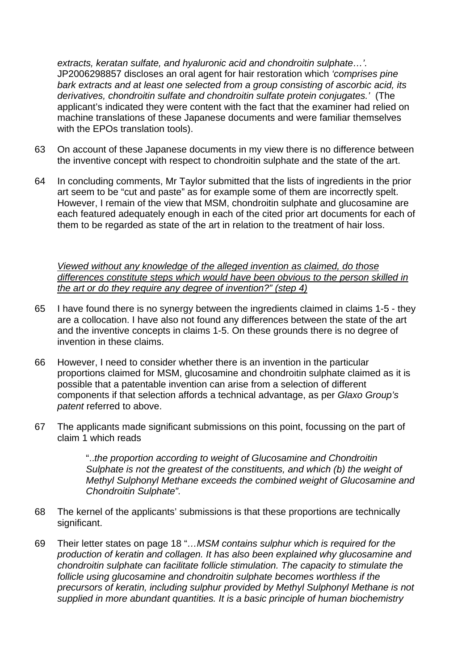*extracts, keratan sulfate, and hyaluronic acid and chondroitin sulphate…'.* JP2006298857 discloses an oral agent for hair restoration which *'comprises pine bark extracts and at least one selected from a group consisting of ascorbic acid, its derivatives, chondroitin sulfate and chondroitin sulfate protein conjugates.'* (The applicant's indicated they were content with the fact that the examiner had relied on machine translations of these Japanese documents and were familiar themselves with the EPOs translation tools).

- 63 On account of these Japanese documents in my view there is no difference between the inventive concept with respect to chondroitin sulphate and the state of the art.
- 64 In concluding comments, Mr Taylor submitted that the lists of ingredients in the prior art seem to be "cut and paste" as for example some of them are incorrectly spelt. However, I remain of the view that MSM, chondroitin sulphate and glucosamine are each featured adequately enough in each of the cited prior art documents for each of them to be regarded as state of the art in relation to the treatment of hair loss.

*Viewed without any knowledge of the alleged invention as claimed, do those differences constitute steps which would have been obvious to the person skilled in the art or do they require any degree of invention?" (step 4)*

- 65 I have found there is no synergy between the ingredients claimed in claims 1-5 they are a collocation. I have also not found any differences between the state of the art and the inventive concepts in claims 1-5. On these grounds there is no degree of invention in these claims.
- 66 However, I need to consider whether there is an invention in the particular proportions claimed for MSM, glucosamine and chondroitin sulphate claimed as it is possible that a patentable invention can arise from a selection of different components if that selection affords a technical advantage, as per *Glaxo Group's patent* referred to above.
- 67 The applicants made significant submissions on this point, focussing on the part of claim 1 which reads

"..*the proportion according to weight of Glucosamine and Chondroitin Sulphate is not the greatest of the constituents, and which (b) the weight of Methyl Sulphonyl Methane exceeds the combined weight of Glucosamine and Chondroitin Sulphate".*

- 68 The kernel of the applicants' submissions is that these proportions are technically significant.
- 69 Their letter states on page 18 "*…MSM contains sulphur which is required for the production of keratin and collagen. It has also been explained why glucosamine and chondroitin sulphate can facilitate follicle stimulation. The capacity to stimulate the follicle using glucosamine and chondroitin sulphate becomes worthless if the precursors of keratin, including sulphur provided by Methyl Sulphonyl Methane is not supplied in more abundant quantities. It is a basic principle of human biochemistry*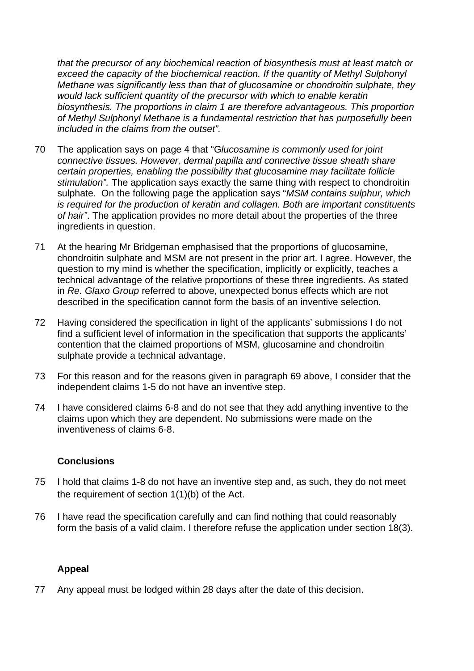*that the precursor of any biochemical reaction of biosynthesis must at least match or exceed the capacity of the biochemical reaction. If the quantity of Methyl Sulphonyl Methane was significantly less than that of glucosamine or chondroitin sulphate, they would lack sufficient quantity of the precursor with which to enable keratin biosynthesis. The proportions in claim 1 are therefore advantageous. This proportion of Methyl Sulphonyl Methane is a fundamental restriction that has purposefully been included in the claims from the outset".* 

- 70 The application says on page 4 that "G*lucosamine is commonly used for joint connective tissues. However, dermal papilla and connective tissue sheath share certain properties, enabling the possibility that glucosamine may facilitate follicle stimulation".* The application says exactly the same thing with respect to chondroitin sulphate. On the following page the application says "*MSM contains sulphur, which is required for the production of keratin and collagen. Both are important constituents of hair"*. The application provides no more detail about the properties of the three ingredients in question.
- 71 At the hearing Mr Bridgeman emphasised that the proportions of glucosamine, chondroitin sulphate and MSM are not present in the prior art. I agree. However, the question to my mind is whether the specification, implicitly or explicitly, teaches a technical advantage of the relative proportions of these three ingredients. As stated in *Re. Glaxo Group* referred to above, unexpected bonus effects which are not described in the specification cannot form the basis of an inventive selection.
- 72 Having considered the specification in light of the applicants' submissions I do not find a sufficient level of information in the specification that supports the applicants' contention that the claimed proportions of MSM, glucosamine and chondroitin sulphate provide a technical advantage.
- 73 For this reason and for the reasons given in paragraph 69 above, I consider that the independent claims 1-5 do not have an inventive step.
- 74 I have considered claims 6-8 and do not see that they add anything inventive to the claims upon which they are dependent. No submissions were made on the inventiveness of claims 6-8.

## **Conclusions**

- 75 I hold that claims 1-8 do not have an inventive step and, as such, they do not meet the requirement of section 1(1)(b) of the Act.
- 76 I have read the specification carefully and can find nothing that could reasonably form the basis of a valid claim. I therefore refuse the application under section 18(3).

## **Appeal**

77 Any appeal must be lodged within 28 days after the date of this decision.